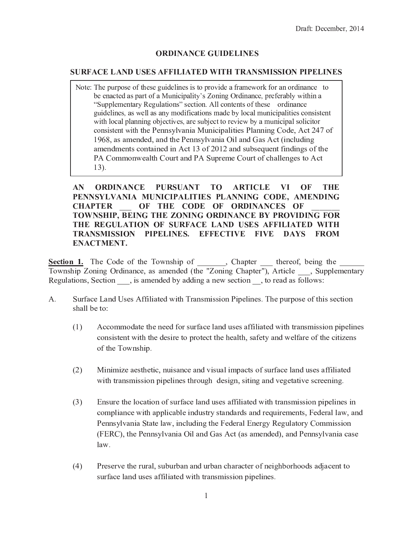## **ORDINANCE GUIDELINES**

## **SURFACE LAND USES AFFILIATED WITH TRANSMISSION PIPELINES**

Note: The purpose of these guidelines is to provide a framework for an ordinance to be enacted as part of a Municipality's Zoning Ordinance, preferably within a "Supplementary Regulations" section. All contents of these ordinance guidelines, as well as any modifications made by local municipalities consistent with local planning objectives, are subject to review by a municipal solicitor consistent with the Pennsylvania Municipalities Planning Code, Act 247 of 1968, as amended, and the Pennsylvania Oil and Gas Act (including amendments contained in Act 13 of 2012 and subsequent findings of the PA Commonwealth Court and PA Supreme Court of challenges to Act  $13$ ).

**ORDINANCE** PURSUANT TO **ARTICLE**  $AN$ VI -OF **THE** PENNSYLVANIA MUNICIPALITIES PLANNING CODE, AMENDING OF THE CODE OF ORDINANCES OF **CHAPTER** TOWNSHIP, BEING THE ZONING ORDINANCE BY PROVIDING FOR THE REGULATION OF SURFACE LAND USES AFFILIATED WITH TRANSMISSION PIPELINES. EFFECTIVE FIVE DAYS FROM **ENACTMENT.** 

Section 1. The Code of the Township of , Chapter thereof, being the Township Zoning Ordinance, as amended (the "Zoning Chapter"), Article , Supplementary Regulations, Section, is amended by adding a new section, to read as follows:

- Surface Land Uses Affiliated with Transmission Pipelines. The purpose of this section A. shall be to:
	- Accommodate the need for surface land uses affiliated with transmission pipelines  $(1)$ consistent with the desire to protect the health, safety and welfare of the citizens of the Township.
	- $(2)$ Minimize aesthetic, nuisance and visual impacts of surface land uses affiliated with transmission pipelines through design, siting and vegetative screening.
	- $(3)$ Ensure the location of surface land uses affiliated with transmission pipelines in compliance with applicable industry standards and requirements, Federal law, and Pennsylvania State law, including the Federal Energy Regulatory Commission (FERC), the Pennsylvania Oil and Gas Act (as amended), and Pennsylvania case  $law.$
	- $(4)$ Preserve the rural, suburban and urban character of neighborhoods adjacent to surface land uses affiliated with transmission pipelines.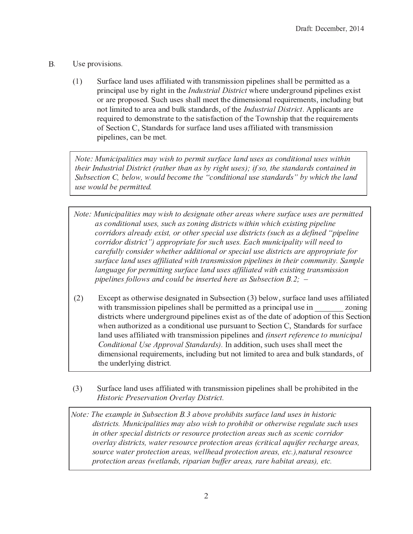- $B<sub>r</sub>$ Use provisions.
	- Surface land uses affiliated with transmission pipelines shall be permitted as a  $(1)$ principal use by right in the *Industrial District* where underground pipelines exist or are proposed. Such uses shall meet the dimensional requirements, including but not limited to area and bulk standards, of the *Industrial District*. Applicants are required to demonstrate to the satisfaction of the Township that the requirements of Section C, Standards for surface land uses affiliated with transmission pipelines, can be met.

Note: Municipalities may wish to permit surface land uses as conditional uses within their Industrial District (rather than as by right uses); if so, the standards contained in Subsection C, below, would become the "conditional use standards" by which the land use would be permitted.

- Note: Municipalities may wish to designate other areas where surface uses are permitted as conditional uses, such as zoning districts within which existing pipeline corridors already exist, or other special use districts (such as a defined "pipeline" corridor district") appropriate for such uses. Each municipality will need to carefully consider whether additional or special use districts are appropriate for surface land uses affiliated with transmission pipelines in their community. Sample language for permitting surface land uses affiliated with existing transmission pipelines follows and could be inserted here as Subsection B.2;  $-$
- Except as otherwise designated in Subsection (3) below, surface land uses affiliated  $(2)$ with transmission pipelines shall be permitted as a principal use in zoning districts where underground pipelines exist as of the date of adoption of this Section when authorized as a conditional use pursuant to Section C, Standards for surface land uses affiliated with transmission pipelines and *(insert reference to municipal* Conditional Use Approval Standards). In addition, such uses shall meet the dimensional requirements, including but not limited to area and bulk standards, of the underlying district.
- $(3)$ Surface land uses affiliated with transmission pipelines shall be prohibited in the Historic Preservation Overlay District.

Note: The example in Subsection B.3 above prohibits surface land uses in historic districts. Municipalities may also wish to prohibit or otherwise regulate such uses in other special districts or resource protection areas such as scenic corridor overlay districts, water resource protection areas (critical aquifer recharge areas, source water protection areas, wellhead protection areas, etc.), natural resource protection areas (wetlands, riparian buffer areas, rare habitat areas), etc.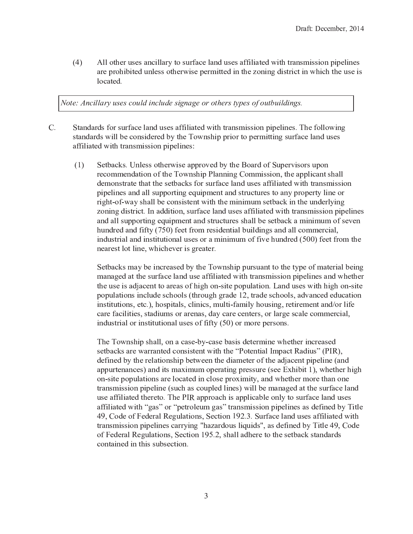$(4)$ All other uses ancillary to surface land uses affiliated with transmission pipelines ? @ <sup>2</sup> <sup>&</sup>lt; @ <sup>4</sup> <sup>1</sup> ; <sup>A</sup> ; <sup>7</sup> <sup>2</sup> <sup>5</sup> <sup>M</sup> <sup>9</sup> <sup>K</sup> <sup>2</sup> : : <sup>4</sup> <sup>7</sup> <sup>1</sup> <sup>2</sup> @ <sup>8</sup> ; : <sup>2</sup> <sup>&</sup>lt; <sup>2</sup> @ <sup>F</sup> ; <sup>7</sup> <sup>7</sup> <sup>2</sup> <sup>5</sup> ; <sup>9</sup> <sup>7</sup> <sup>1</sup> <sup>2</sup> <sup>U</sup> <sup>4</sup> <sup>9</sup> ; <sup>9</sup> <sup>B</sup> <sup>5</sup> ; : <sup>7</sup> @ ; <sup>E</sup> <sup>7</sup> ; <sup>9</sup> <sup>8</sup> <sup>1</sup> ; <sup>E</sup> <sup>1</sup> <sup>7</sup> <sup>1</sup> <sup>2</sup> <sup>M</sup> : <sup>2</sup> ; : K <sup>4</sup> <sup>E</sup> ? <sup>7</sup> <sup>2</sup> <sup>5</sup> <sup>Q</sup>

¥ ¡ ¦ <sup>Õ</sup> ¤ ¡ ¡ <sup>¬</sup> <sup>¬</sup> ¡ « ¡ ¤ ¨ ¡ <sup>Í</sup> <sup>¬</sup> <sup>Ë</sup>

- $\mathcal{C}$ . Standards for surface land uses affiliated with transmission pipelines. The following : <sup>7</sup> ? <sup>9</sup> <sup>5</sup> ? @ <sup>5</sup> : <sup>8</sup> ; <sup>K</sup> <sup>K</sup> <sup>A</sup> <sup>2</sup> <sup>E</sup> <sup>4</sup> <sup>9</sup> : ; <sup>5</sup> <sup>2</sup> @ <sup>2</sup> <sup>5</sup> <sup>A</sup> <sup>N</sup> <sup>7</sup> <sup>1</sup> <sup>2</sup> <sup>0</sup> <sup>4</sup> <sup>8</sup> <sup>9</sup> : <sup>1</sup> ; <sup>&</sup>lt; <sup>&</sup>lt; @ ; <sup>4</sup> @ <sup>7</sup> <sup>4</sup> <sup>&</sup>lt; <sup>2</sup> @ <sup>F</sup> ; <sup>7</sup> <sup>7</sup> ; <sup>9</sup> <sup>B</sup> : <sup>M</sup> @ <sup>6</sup> ? <sup>E</sup> <sup>2</sup> <sup>K</sup> ? <sup>9</sup> <sup>5</sup> <sup>M</sup> : <sup>2</sup> : ? <sup>6</sup> <sup>6</sup> ; <sup>K</sup> ; ? <sup>7</sup> <sup>2</sup> <sup>5</sup> <sup>8</sup> ; <sup>7</sup> <sup>1</sup> <sup>7</sup> @ ? <sup>9</sup> : <sup>F</sup> ; : : ; <sup>4</sup> <sup>9</sup> <sup>&</sup>lt; ; <sup>&</sup>lt; <sup>2</sup> <sup>K</sup> ; <sup>9</sup> <sup>2</sup> : <sup>P</sup>
	- G I <sup>L</sup> <sup>2</sup> <sup>7</sup> <sup>A</sup> ? <sup>E</sup> : <sup>Q</sup> <sup>S</sup> <sup>9</sup> <sup>K</sup> <sup>2</sup> : : <sup>4</sup> <sup>7</sup> <sup>1</sup> <sup>2</sup> @ <sup>8</sup> ; : <sup>2</sup> ? <sup>&</sup>lt; <sup>&</sup>lt; @ <sup>4</sup> <sup>X</sup> <sup>2</sup> <sup>5</sup> <sup>A</sup> <sup>N</sup> <sup>7</sup> <sup>1</sup> <sup>2</sup> 4 ? @ <sup>5</sup> <sup>4</sup> <sup>6</sup> <sup>L</sup> <sup>M</sup> <sup>&</sup>lt; <sup>2</sup> @ <sup>X</sup> ; : <sup>4</sup> @ : <sup>M</sup> <sup>&</sup>lt; <sup>4</sup> <sup>9</sup> @ <sup>2</sup> <sup>E</sup> <sup>4</sup> <sup>F</sup> <sup>F</sup> <sup>2</sup> <sup>9</sup> <sup>5</sup> ? <sup>7</sup> ; <sup>4</sup> <sup>9</sup> <sup>4</sup> <sup>6</sup> <sup>7</sup> <sup>1</sup> <sup>2</sup> <sup>0</sup> <sup>4</sup> <sup>8</sup> <sup>9</sup> : <sup>1</sup> ; <sup>&</sup>lt; <sup>T</sup> <sup>K</sup> ? <sup>9</sup> <sup>9</sup> ; <sup>9</sup> <sup>B</sup> <sup>3</sup> <sup>4</sup> <sup>F</sup> <sup>F</sup> ; : : ; <sup>4</sup> <sup>9</sup> <sup>&</sup>gt; <sup>7</sup> <sup>1</sup> <sup>2</sup> ? <sup>&</sup>lt; <sup>&</sup>lt; <sup>K</sup> ; <sup>E</sup> ? <sup>9</sup> <sup>7</sup> : <sup>1</sup> ? <sup>K</sup> <sup>K</sup> 5 <sup>2</sup> <sup>F</sup> <sup>4</sup> <sup>9</sup> : <sup>7</sup> @ ? <sup>7</sup> <sup>2</sup> <sup>7</sup> <sup>1</sup> ? <sup>7</sup> <sup>7</sup> <sup>1</sup> <sup>2</sup> : <sup>2</sup> <sup>7</sup> <sup>A</sup> ? <sup>E</sup> : <sup>6</sup> <sup>4</sup> @ : <sup>M</sup> @ <sup>6</sup> ? <sup>E</sup> <sup>2</sup> <sup>K</sup> ? <sup>9</sup> <sup>5</sup> <sup>M</sup> : <sup>2</sup> : ? <sup>6</sup> <sup>6</sup> ; <sup>K</sup> ; ? <sup>7</sup> <sup>2</sup> <sup>5</sup> <sup>8</sup> ; <sup>7</sup> <sup>1</sup> <sup>7</sup> @ ? <sup>9</sup> : <sup>F</sup> ; : : ; <sup>4</sup> <sup>9</sup> < ; <sup>&</sup>lt; <sup>2</sup> <sup>K</sup> ; <sup>9</sup> <sup>2</sup> : ? <sup>9</sup> <sup>5</sup> ? <sup>K</sup> <sup>K</sup> : <sup>M</sup> <sup>&</sup>lt; <sup>&</sup>lt; <sup>4</sup> @ <sup>7</sup> ; <sup>9</sup> <sup>B</sup> <sup>2</sup> [ <sup>M</sup> ; <sup>&</sup>lt; <sup>F</sup> <sup>2</sup> <sup>9</sup> <sup>7</sup> ? <sup>9</sup> <sup>5</sup> : <sup>7</sup> @ <sup>M</sup> <sup>E</sup> <sup>7</sup> <sup>M</sup> @ <sup>2</sup> : <sup>7</sup> <sup>4</sup> ? <sup>9</sup> <sup>N</sup> <sup>&</sup>lt; @ <sup>4</sup> <sup>&</sup>lt; <sup>2</sup> @ <sup>7</sup> <sup>N</sup> <sup>K</sup> ; <sup>9</sup> <sup>2</sup> <sup>4</sup> @ @ ; <sup>B</sup> <sup>1</sup> <sup>7</sup> <sup>Þ</sup> <sup>4</sup> <sup>6</sup> <sup>Þ</sup> <sup>8</sup> ? <sup>N</sup> : <sup>1</sup> ? <sup>K</sup> <sup>K</sup> <sup>A</sup> <sup>2</sup> <sup>E</sup> <sup>4</sup> <sup>9</sup> : ; : <sup>7</sup> <sup>2</sup> <sup>9</sup> <sup>7</sup> <sup>8</sup> ; <sup>7</sup> <sup>1</sup> <sup>7</sup> <sup>1</sup> <sup>2</sup> <sup>F</sup> ; <sup>9</sup> ; <sup>F</sup> <sup>M</sup> <sup>F</sup> : <sup>2</sup> <sup>7</sup> <sup>A</sup> ? <sup>E</sup> ; <sup>9</sup> <sup>7</sup> <sup>1</sup> <sup>2</sup> <sup>M</sup> <sup>9</sup> <sup>5</sup> <sup>2</sup> @ <sup>K</sup> <sup>N</sup> ; <sup>9</sup> <sup>B</sup> U <sup>4</sup> <sup>9</sup> ; <sup>9</sup> <sup>B</sup> <sup>5</sup> ; : <sup>7</sup> @ ; <sup>E</sup> <sup>7</sup> <sup>Q</sup> <sup>×</sup> <sup>9</sup> ? <sup>5</sup> <sup>5</sup> ; <sup>7</sup> ; <sup>4</sup> <sup>9</sup> <sup>&</sup>gt; : <sup>M</sup> @ <sup>6</sup> ? <sup>E</sup> <sup>2</sup> <sup>K</sup> ? <sup>9</sup> <sup>5</sup> <sup>M</sup> : <sup>2</sup> : ? <sup>6</sup> <sup>6</sup> ; <sup>K</sup> ; ? <sup>7</sup> <sup>2</sup> <sup>5</sup> <sup>8</sup> ; <sup>7</sup> <sup>1</sup> <sup>7</sup> @ ? <sup>9</sup> : <sup>F</sup> ; : : ; <sup>4</sup> <sup>9</sup> <sup>&</sup>lt; ; <sup>&</sup>lt; <sup>2</sup> <sup>K</sup> ; <sup>9</sup> <sup>2</sup> : ? <sup>9</sup> <sup>5</sup> ? <sup>K</sup> <sup>K</sup> : <sup>M</sup> <sup>&</sup>lt; <sup>&</sup>lt; <sup>4</sup> @ <sup>7</sup> ; <sup>9</sup> <sup>B</sup> <sup>2</sup> [ <sup>M</sup> ; <sup>&</sup>lt; <sup>F</sup> <sup>2</sup> <sup>9</sup> <sup>7</sup> ? <sup>9</sup> <sup>5</sup> : <sup>7</sup> @ <sup>M</sup> <sup>E</sup> <sup>7</sup> <sup>M</sup> @ <sup>2</sup> : : <sup>1</sup> ? <sup>K</sup> <sup>K</sup> <sup>A</sup> <sup>2</sup> : <sup>2</sup> <sup>7</sup> <sup>A</sup> ? <sup>E</sup> ? <sup>F</sup> ; <sup>9</sup> ; <sup>F</sup> <sup>M</sup> <sup>F</sup> <sup>4</sup> <sup>6</sup> : <sup>2</sup> <sup>X</sup> <sup>2</sup> <sup>9</sup> 1 <sup>M</sup> <sup>9</sup> <sup>5</sup> @ <sup>2</sup> <sup>5</sup> ? <sup>9</sup> <sup>5</sup> <sup>6</sup> ; <sup>6</sup> <sup>7</sup> <sup>N</sup> <sup>G</sup> <sup>ß</sup> <sup>I</sup> <sup>6</sup> <sup>2</sup> <sup>2</sup> <sup>7</sup> <sup>6</sup> @ <sup>4</sup> <sup>F</sup> @ <sup>2</sup> : ; <sup>5</sup> <sup>2</sup> <sup>9</sup> <sup>7</sup> ; ? <sup>K</sup> <sup>A</sup> <sup>M</sup> ; <sup>K</sup> <sup>5</sup> ; <sup>9</sup> <sup>B</sup> : ? <sup>9</sup> <sup>5</sup> ? <sup>K</sup> <sup>K</sup> <sup>E</sup> <sup>4</sup> <sup>F</sup> <sup>F</sup> <sup>2</sup> @ <sup>E</sup> ; ? <sup>K</sup> <sup>&</sup>gt; ; <sup>9</sup> <sup>5</sup> <sup>M</sup> : <sup>7</sup> @ ; ? <sup>K</sup> ? <sup>9</sup> <sup>5</sup> ; <sup>9</sup> : <sup>7</sup> ; <sup>7</sup> <sup>M</sup> <sup>7</sup> ; <sup>4</sup> <sup>9</sup> ? <sup>K</sup> <sup>M</sup> : <sup>2</sup> : <sup>4</sup> @ ? <sup>F</sup> ; <sup>9</sup> ; <sup>F</sup> <sup>M</sup> <sup>F</sup> <sup>4</sup> <sup>6</sup> <sup>6</sup> ; <sup>X</sup> <sup>2</sup> <sup>1</sup> <sup>M</sup> <sup>9</sup> <sup>5</sup> @ <sup>2</sup> <sup>5</sup> <sup>G</sup> <sup>ß</sup> <sup>I</sup> <sup>6</sup> <sup>2</sup> <sup>2</sup> <sup>7</sup> <sup>6</sup> @ <sup>4</sup> <sup>F</sup> <sup>7</sup> <sup>1</sup> <sup>2</sup> 9 <sup>2</sup> ? @ <sup>2</sup> : <sup>7</sup> <sup>K</sup> <sup>4</sup> <sup>7</sup> <sup>K</sup> ; <sup>9</sup> <sup>2</sup> <sup>&</sup>gt; <sup>8</sup> <sup>1</sup> ; <sup>E</sup> <sup>1</sup> <sup>2</sup> <sup>X</sup> <sup>2</sup> @ ; : <sup>B</sup> @ <sup>2</sup> ? <sup>7</sup> <sup>2</sup> @ <sup>Q</sup>

L <sup>2</sup> <sup>7</sup> <sup>A</sup> ? <sup>E</sup> : <sup>F</sup> ? <sup>N</sup> <sup>A</sup> <sup>2</sup> ; <sup>9</sup> <sup>E</sup> @ <sup>2</sup> ? : <sup>2</sup> <sup>5</sup> <sup>A</sup> <sup>N</sup> <sup>7</sup> <sup>1</sup> <sup>2</sup> <sup>0</sup> <sup>4</sup> <sup>8</sup> <sup>9</sup> : <sup>1</sup> ; <sup>&</sup>lt; <sup>&</sup>lt; <sup>M</sup> @ : <sup>M</sup> ? <sup>9</sup> <sup>7</sup> <sup>7</sup> <sup>4</sup> <sup>7</sup> <sup>1</sup> <sup>2</sup> <sup>7</sup> <sup>N</sup> <sup>&</sup>lt; <sup>2</sup> <sup>4</sup> <sup>6</sup> <sup>F</sup> ? <sup>7</sup> <sup>2</sup> @ ; ? <sup>K</sup> <sup>A</sup> <sup>2</sup> ; <sup>9</sup> <sup>B</sup> F ? <sup>9</sup> ? <sup>B</sup> <sup>2</sup> <sup>5</sup> ? <sup>7</sup> <sup>7</sup> <sup>1</sup> <sup>2</sup> : <sup>M</sup> @ <sup>6</sup> ? <sup>E</sup> <sup>2</sup> <sup>K</sup> ? <sup>9</sup> <sup>5</sup> <sup>M</sup> : <sup>2</sup> ? <sup>6</sup> <sup>6</sup> ; <sup>K</sup> ; ? <sup>7</sup> <sup>2</sup> <sup>5</sup> <sup>8</sup> ; <sup>7</sup> <sup>1</sup> <sup>7</sup> @ ? <sup>9</sup> : <sup>F</sup> ; : : ; <sup>4</sup> <sup>9</sup> <sup>&</sup>lt; ; <sup>&</sup>lt; <sup>2</sup> <sup>K</sup> ; <sup>9</sup> <sup>2</sup> : ? <sup>9</sup> <sup>5</sup> <sup>8</sup> <sup>1</sup> <sup>2</sup> <sup>7</sup> <sup>1</sup> <sup>2</sup> @ 7 <sup>1</sup> <sup>2</sup> <sup>M</sup> : <sup>2</sup> ; : ? <sup>5</sup> \_ ? <sup>E</sup> <sup>2</sup> <sup>9</sup> <sup>7</sup> <sup>7</sup> <sup>4</sup> ? @ <sup>2</sup> ? : <sup>4</sup> <sup>6</sup> <sup>1</sup> ; <sup>B</sup> <sup>1</sup> <sup>4</sup> <sup>9</sup> <sup>Þ</sup> : ; <sup>7</sup> <sup>2</sup> <sup>&</sup>lt; <sup>4</sup> <sup>&</sup>lt; <sup>M</sup> <sup>K</sup> ? <sup>7</sup> ; <sup>4</sup> <sup>9</sup> <sup>Q</sup> <sup>R</sup> ? <sup>9</sup> <sup>5</sup> <sup>M</sup> : <sup>2</sup> : <sup>8</sup> ; <sup>7</sup> <sup>1</sup> <sup>1</sup> ; <sup>B</sup> <sup>1</sup> <sup>4</sup> <sup>9</sup> <sup>Þ</sup> : ; <sup>7</sup> <sup>2</sup> < <sup>4</sup> <sup>&</sup>lt; <sup>M</sup> <sup>K</sup> ? <sup>7</sup> ; <sup>4</sup> <sup>9</sup> : ; <sup>9</sup> <sup>E</sup> <sup>K</sup> <sup>M</sup> <sup>5</sup> <sup>2</sup> : <sup>E</sup> <sup>1</sup> <sup>4</sup> <sup>4</sup> <sup>K</sup> : <sup>G</sup> <sup>7</sup> <sup>1</sup> @ <sup>4</sup> <sup>M</sup> <sup>B</sup> <sup>1</sup> <sup>B</sup> @ ? <sup>5</sup> <sup>2</sup> V <sup>&</sup>gt; <sup>7</sup> @ ? <sup>5</sup> <sup>2</sup> : <sup>E</sup> <sup>1</sup> <sup>4</sup> <sup>4</sup> <sup>K</sup> : <sup>&</sup>gt; ? <sup>5</sup> <sup>X</sup> ? <sup>9</sup> <sup>E</sup> <sup>2</sup> <sup>5</sup> <sup>2</sup> <sup>5</sup> <sup>M</sup> <sup>E</sup> ? <sup>7</sup> ; <sup>4</sup> <sup>9</sup> ; <sup>9</sup> : <sup>7</sup> ; <sup>7</sup> <sup>M</sup> <sup>7</sup> ; <sup>4</sup> <sup>9</sup> : <sup>&</sup>gt; <sup>2</sup> <sup>7</sup> <sup>E</sup> <sup>Q</sup> <sup>I</sup> <sup>&</sup>gt; <sup>1</sup> <sup>4</sup> : <sup>&</sup>lt; ; <sup>7</sup> ? <sup>K</sup> : <sup>&</sup>gt; <sup>E</sup> <sup>K</sup> ; <sup>9</sup> ; <sup>E</sup> : <sup>&</sup>gt; <sup>F</sup> <sup>M</sup> <sup>K</sup> <sup>7</sup> ; <sup>Þ</sup> <sup>6</sup> ? <sup>F</sup> ; <sup>K</sup> <sup>N</sup> <sup>1</sup> <sup>4</sup> <sup>M</sup> : ; <sup>9</sup> <sup>B</sup> <sup>&</sup>gt; @ <sup>2</sup> <sup>7</sup> ; @ <sup>2</sup> <sup>F</sup> <sup>2</sup> <sup>9</sup> <sup>7</sup> ? <sup>9</sup> <sup>5</sup> <sup>à</sup> <sup>4</sup> @ <sup>K</sup> ; <sup>6</sup> <sup>2</sup> E ? @ <sup>2</sup> <sup>6</sup> ? <sup>E</sup> ; <sup>K</sup> ; <sup>7</sup> ; <sup>2</sup> : <sup>&</sup>gt; : <sup>7</sup> ? <sup>5</sup> ; <sup>M</sup> <sup>F</sup> : <sup>4</sup> @ ? @ <sup>2</sup> <sup>9</sup> ? : <sup>&</sup>gt; <sup>5</sup> ? <sup>N</sup> <sup>E</sup> ? @ <sup>2</sup> <sup>E</sup> <sup>2</sup> <sup>9</sup> <sup>7</sup> <sup>2</sup> @ : <sup>&</sup>gt; <sup>4</sup> @ <sup>K</sup> ? @ <sup>B</sup> <sup>2</sup> : <sup>E</sup> ? <sup>K</sup> <sup>2</sup> <sup>E</sup> <sup>4</sup> <sup>F</sup> <sup>F</sup> <sup>2</sup> @ <sup>E</sup> ; ? <sup>K</sup> <sup>&</sup>gt; ; <sup>9</sup> <sup>5</sup> <sup>M</sup> : <sup>7</sup> @ ; ? <sup>K</sup> <sup>4</sup> @ ; <sup>9</sup> : <sup>7</sup> ; <sup>7</sup> <sup>M</sup> <sup>7</sup> ; <sup>4</sup> <sup>9</sup> ? <sup>K</sup> <sup>M</sup> : <sup>2</sup> : <sup>4</sup> <sup>6</sup> <sup>6</sup> ; <sup>6</sup> <sup>7</sup> <sup>N</sup> <sup>G</sup> <sup>ß</sup> <sup>I</sup> <sup>4</sup> @ <sup>F</sup> <sup>4</sup> @ <sup>2</sup> <sup>&</sup>lt; <sup>2</sup> @ : <sup>4</sup> <sup>9</sup> : <sup>Q</sup>

0 <sup>1</sup> <sup>2</sup> <sup>0</sup> <sup>4</sup> <sup>8</sup> <sup>9</sup> : <sup>1</sup> ; <sup>&</sup>lt; : <sup>1</sup> ? <sup>K</sup> <sup>K</sup> <sup>&</sup>gt; <sup>4</sup> <sup>9</sup> ? <sup>E</sup> ? : <sup>2</sup> <sup>Þ</sup> <sup>A</sup> <sup>N</sup> <sup>Þ</sup> <sup>E</sup> ? : <sup>2</sup> <sup>A</sup> ? : ; : <sup>5</sup> <sup>2</sup> <sup>7</sup> <sup>2</sup> @ <sup>F</sup> ; <sup>9</sup> <sup>2</sup> <sup>8</sup> <sup>1</sup> <sup>2</sup> <sup>7</sup> <sup>1</sup> <sup>2</sup> @ ; <sup>9</sup> <sup>E</sup> @ <sup>2</sup> ? : <sup>2</sup> <sup>5</sup> : <sup>2</sup> <sup>7</sup> <sup>A</sup> ? <sup>E</sup> : ? @ <sup>2</sup> <sup>8</sup> ? @ @ ? <sup>9</sup> <sup>7</sup> <sup>2</sup> <sup>5</sup> <sup>E</sup> <sup>4</sup> <sup>9</sup> : ; : <sup>7</sup> <sup>á</sup> <sup>â</sup> <sup>ã</sup> <sup>ä</sup> <sup>å</sup> <sup>ã</sup> <sup>æ</sup> <sup>ã</sup> <sup>æ</sup> <sup>á</sup> <sup>ç</sup> <sup>è</sup> <sup>é</sup> <sup>ã</sup> <sup>á</sup> <sup>â</sup> <sup>ã</sup> <sup>å</sup> <sup>ê</sup> <sup>ë</sup> <sup>ì</sup> <sup>í</sup> <sup>î</sup> <sup>ê</sup> <sup>ï</sup> <sup>ã</sup> <sup>ð</sup> <sup>ê</sup> <sup>ñ</sup> <sup>å</sup> <sup>ò</sup> <sup>ó</sup> <sup>ô</sup> <sup>õ</sup> <sup>è</sup> <sup>ì</sup> <sup>ð</sup> <sup>ö</sup> <sup>÷</sup> 5 <sup>2</sup> <sup>6</sup> ; <sup>9</sup> <sup>2</sup> <sup>5</sup> <sup>A</sup> <sup>N</sup> <sup>7</sup> <sup>1</sup> <sup>2</sup> @ <sup>2</sup> <sup>K</sup> ? <sup>7</sup> ; <sup>4</sup> <sup>9</sup> : <sup>1</sup> ; <sup>&</sup>lt; <sup>A</sup> <sup>2</sup> <sup>7</sup> <sup>8</sup> <sup>2</sup> <sup>2</sup> <sup>9</sup> <sup>7</sup> <sup>1</sup> <sup>2</sup> <sup>5</sup> ; ? <sup>F</sup> <sup>2</sup> <sup>7</sup> <sup>2</sup> @ <sup>4</sup> <sup>6</sup> <sup>7</sup> <sup>1</sup> <sup>2</sup> ? <sup>5</sup> \_ ? <sup>E</sup> <sup>2</sup> <sup>9</sup> <sup>7</sup> <sup>&</sup>lt; ; <sup>&</sup>lt; <sup>2</sup> <sup>K</sup> ; <sup>9</sup> <sup>2</sup> <sup>G</sup> ? <sup>9</sup> <sup>5</sup> ? <sup>&</sup>lt; <sup>&</sup>lt; <sup>M</sup> @ <sup>7</sup> <sup>2</sup> <sup>9</sup> ? <sup>9</sup> <sup>E</sup> <sup>2</sup> : <sup>I</sup> ? <sup>9</sup> <sup>5</sup> ; <sup>7</sup> : <sup>F</sup> ? ; <sup>F</sup> <sup>M</sup> <sup>F</sup> <sup>4</sup> <sup>&</sup>lt; <sup>2</sup> @ ? <sup>7</sup> ; <sup>9</sup> <sup>B</sup> <sup>&</sup>lt; @ <sup>2</sup> : : <sup>M</sup> @ <sup>2</sup> <sup>G</sup> : <sup>2</sup> <sup>2</sup> <sup>Z</sup> <sup>1</sup> ; <sup>A</sup> ; <sup>7</sup> I <sup>&</sup>gt; <sup>8</sup> <sup>1</sup> <sup>2</sup> <sup>7</sup> <sup>1</sup> <sup>2</sup> @ <sup>1</sup> ; <sup>B</sup> <sup>1</sup> 4 <sup>9</sup> <sup>Þ</sup> : ; <sup>7</sup> <sup>2</sup> <sup>&</sup>lt; <sup>4</sup> <sup>&</sup>lt; <sup>M</sup> <sup>K</sup> ? <sup>7</sup> ; <sup>4</sup> <sup>9</sup> : ? @ <sup>2</sup> <sup>K</sup> <sup>4</sup> <sup>E</sup> ? <sup>7</sup> <sup>2</sup> <sup>5</sup> ; <sup>9</sup> <sup>E</sup> <sup>K</sup> <sup>4</sup> : <sup>2</sup> <sup>&</sup>lt; @ <sup>4</sup> ; <sup>F</sup> ; <sup>7</sup> <sup>N</sup> <sup>&</sup>gt; ? <sup>9</sup> <sup>5</sup> <sup>8</sup> <sup>1</sup> <sup>2</sup> <sup>7</sup> <sup>1</sup> <sup>2</sup> @ <sup>F</sup> <sup>4</sup> @ <sup>2</sup> <sup>7</sup> <sup>1</sup> ? <sup>9</sup> <sup>4</sup> <sup>9</sup> <sup>2</sup> 7 @ ? <sup>9</sup> : <sup>F</sup> ; : : ; <sup>4</sup> <sup>9</sup> <sup>&</sup>lt; ; <sup>&</sup>lt; <sup>2</sup> <sup>K</sup> ; <sup>9</sup> <sup>2</sup> <sup>G</sup> : <sup>M</sup> <sup>E</sup> <sup>1</sup> ? : <sup>E</sup> <sup>4</sup> <sup>M</sup> <sup>&</sup>lt; <sup>K</sup> <sup>2</sup> <sup>5</sup> <sup>K</sup> ; <sup>9</sup> <sup>2</sup> : <sup>I</sup> <sup>8</sup> ; <sup>K</sup> <sup>K</sup> <sup>A</sup> <sup>2</sup> <sup>F</sup> ? <sup>9</sup> ? <sup>B</sup> <sup>2</sup> <sup>5</sup> ? <sup>7</sup> <sup>7</sup> <sup>1</sup> <sup>2</sup> : <sup>M</sup> @ <sup>6</sup> ? <sup>E</sup> <sup>2</sup> <sup>K</sup> ? <sup>9</sup> <sup>5</sup> M : <sup>2</sup> ? <sup>6</sup> <sup>6</sup> ; <sup>K</sup> ; ? <sup>7</sup> <sup>2</sup> <sup>5</sup> <sup>7</sup> <sup>1</sup> <sup>2</sup> @ <sup>2</sup> <sup>7</sup> <sup>4</sup> <sup>Q</sup> <sup>0</sup> <sup>1</sup> <sup>2</sup> <sup>T</sup> <sup>×</sup> <sup>O</sup> ? <sup>&</sup>lt; <sup>&</sup>lt; @ <sup>4</sup> ? <sup>E</sup> <sup>1</sup> ; : ? <sup>&</sup>lt; <sup>&</sup>lt; <sup>K</sup> ; <sup>E</sup> ? <sup>A</sup> <sup>K</sup> <sup>2</sup> <sup>4</sup> <sup>9</sup> <sup>K</sup> <sup>N</sup> <sup>7</sup> <sup>4</sup> : <sup>M</sup> @ <sup>6</sup> ? <sup>E</sup> <sup>2</sup> <sup>K</sup> ? <sup>9</sup> <sup>5</sup> <sup>M</sup> : <sup>2</sup> : . 6 6 6 6 6 6 î.Hr. 8 î.Hr. 8 î.Hr. 8 î.Hr. 8 î.Hr. 8 î.Hr. 8 î.Hr. 9 î.Hr. 9 î.Hr. 9 î.Hr. 9 î.Hr. 9 î.Hr. 9<br>Ani: 1 î.Hr. 9 î.Hr. 9 î.Hr. 9 î.Hr. 9 î.Hr. 9 2 î.Hr. 9 2 î.Hr. 9 2 î.Hr. 9 2 6 î.Hr. 9 2 6 î.Hr. 9 2 6 î.Hr. أنا المسافر المسلم التي تقدم التي تقدم المسلم المسلم المسلم المسلم المسلم المسلم المسلم المسلم المسلم المسلم ا 7 @ ? <sup>9</sup> : <sup>F</sup> ; : : ; <sup>4</sup> <sup>9</sup> <sup>&</sup>lt; ; <sup>&</sup>lt; <sup>2</sup> <sup>K</sup> ; <sup>9</sup> <sup>2</sup> : <sup>E</sup> ? @ @ <sup>N</sup> ; <sup>9</sup> <sup>B</sup> <sup>H</sup> <sup>1</sup> ? <sup>U</sup> ? @ <sup>5</sup> <sup>4</sup> <sup>M</sup> : <sup>K</sup> ; [ <sup>M</sup> ; <sup>5</sup> : <sup>H</sup> <sup>&</sup>gt; ? : <sup>5</sup> <sup>2</sup> <sup>6</sup> ; <sup>9</sup> <sup>2</sup> <sup>5</sup> <sup>A</sup> <sup>N</sup> <sup>0</sup> ; <sup>7</sup> <sup>K</sup> <sup>2</sup> ^ > <sup>3</sup> <sup>4</sup> <sup>5</sup> <sup>2</sup> 4 <sup>6</sup> \ <sup>2</sup> <sup>5</sup> <sup>2</sup> @ ? <sup>K</sup> <sup>O</sup> 2 <sup>B</sup> <sup>M</sup> <sup>K</sup> ? <sup>7</sup> ; <sup>4</sup> <sup>9</sup> : <sup>&</sup>gt; <sup>L</sup> <sup>2</sup> <sup>E</sup> <sup>7</sup> ; <sup>4</sup> <sup>9</sup> ß <sup>Q</sup> <sup>V</sup> <sup>&</sup>gt; : <sup>1</sup> ? <sup>K</sup> <sup>K</sup> ? <sup>5</sup> <sup>1</sup> <sup>2</sup> @ <sup>2</sup> <sup>7</sup> <sup>4</sup> <sup>7</sup> <sup>1</sup> <sup>2</sup> : <sup>2</sup> <sup>7</sup> <sup>A</sup> ? <sup>E</sup> : <sup>7</sup> ? <sup>9</sup> <sup>5</sup> ? @ <sup>5</sup> : . The set of the set of the set of the set of the set of the set of the set of the set of the set of the set of the set of the set of the set of the set of the set of the set of the set of the set of the set of the set of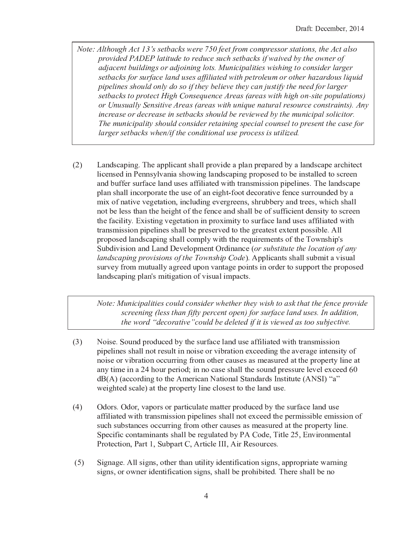- $N_{\alpha}$  , although  $A$  of  $12$  a sathonization  $750$  foot from compressor stational the  $A$  of alg  $\mathbf{r} = \mathbf{r} + \mathbf{r} + \mathbf{r} + \mathbf{r} + \mathbf{r} + \mathbf{r} + \mathbf{r} + \mathbf{r} + \mathbf{r} + \mathbf{r} + \mathbf{r} + \mathbf{r} + \mathbf{r} + \mathbf{r} + \mathbf{r} + \mathbf{r} + \mathbf{r} + \mathbf{r} + \mathbf{r} + \mathbf{r} + \mathbf{r} + \mathbf{r} + \mathbf{r} + \mathbf{r} + \mathbf{r} + \mathbf{r} + \mathbf{r} + \mathbf{r} + \mathbf{r} + \mathbf{r} + \mathbf$  ¡ <sup>Í</sup> <sup>¬</sup> <sup>¬</sup> <sup>Ë</sup> § ¨ ¡ <sup>ª</sup> « <sup>¬</sup> ¡ <sup>¬</sup> ¡ ¡ <sup>Í</sup> ¡ ¡ ¡ <sup>ª</sup> « ¨ ¡ ¡ © « ¡ « ¯ <sup>Ú</sup>  $\blacksquare$  ¡ <sup>Í</sup> ¨ ¡ <sup>¬</sup> « <sup>Ó</sup> ¡ <sup>Ú</sup> ¡ ¡ <sup>Õ</sup> ¡ <sup>Ò</sup> ¡ <sup>ª</sup> « « <sup>¬</sup> « ¡ ¨ ¨ <sup>Ö</sup> <sup>Ô</sup> ¤ <sup>Ì</sup> ¡ ¢ ¡ <sup>Õ</sup> ¡ <sup>Ò</sup> ¡ <sup>ª</sup> « <sup>Ú</sup> ¡ ¡ ¡ <sup>Ö</sup> <sup>Ë</sup> <sup>Õ</sup> ¤ ¡ ¡ ¡ ¡ ¡ ¡ <sup>Í</sup> « <sup>Í</sup> ¡ ¡ ¢ ¡ <sup>ª</sup> ¡ <sup>Í</sup> ¤ « ¡ © ¨ <sup>Ë</sup> Ø « ¡ © ¨ ¤ « ¡ ¡ <sup>¬</sup> ¨ ¡ ¡ ¨ ¡ ¡ « ¡ ¡ <sup>¬</sup> ¡ ¡ <sup>Í</sup> <sup>ª</sup> « ¡ « ¡ ¡ ¨ ¡ ¯ ¡ <sup>Ë</sup>
- $(2)$ Landscaping. The applicant shall provide a plan prepared by a landscape architect K ; <sup>E</sup> <sup>2</sup> <sup>9</sup> : <sup>2</sup> <sup>5</sup> ; <sup>9</sup> <sup>T</sup> <sup>2</sup> <sup>9</sup> <sup>9</sup> : <sup>N</sup> <sup>K</sup> <sup>X</sup> ? <sup>9</sup> ; ? : <sup>1</sup> <sup>4</sup> <sup>8</sup> ; <sup>9</sup> <sup>B</sup> <sup>K</sup> ? <sup>9</sup> <sup>5</sup> : <sup>E</sup> ? <sup>&</sup>lt; ; <sup>9</sup> <sup>B</sup> <sup>&</sup>lt; @ <sup>4</sup> <sup>&</sup>lt; <sup>4</sup> : <sup>2</sup> <sup>5</sup> <sup>7</sup> <sup>4</sup> <sup>A</sup> <sup>2</sup> ; <sup>9</sup> : <sup>7</sup> ? <sup>K</sup> <sup>K</sup> <sup>2</sup> <sup>5</sup> <sup>7</sup> <sup>4</sup> : <sup>E</sup> @ <sup>2</sup> <sup>2</sup> <sup>9</sup> ? <sup>9</sup> <sup>5</sup> <sup>A</sup> <sup>M</sup> <sup>6</sup> <sup>6</sup> <sup>2</sup> @ : <sup>M</sup> @ <sup>6</sup> ? <sup>E</sup> <sup>2</sup> <sup>K</sup> ? <sup>9</sup> <sup>5</sup> <sup>M</sup> : <sup>2</sup> : ? <sup>6</sup> <sup>6</sup> ; <sup>K</sup> ; ? <sup>7</sup> <sup>2</sup> <sup>5</sup> <sup>8</sup> ; <sup>7</sup> <sup>1</sup> <sup>7</sup> @ ? <sup>9</sup> : <sup>F</sup> ; : : ; <sup>4</sup> <sup>9</sup> <sup>&</sup>lt; ; <sup>&</sup>lt; <sup>2</sup> <sup>K</sup> ; <sup>9</sup> <sup>2</sup> : <sup>Q</sup> <sup>0</sup> <sup>1</sup> <sup>2</sup> <sup>K</sup> ? <sup>9</sup> <sup>5</sup> : <sup>E</sup> ? <sup>&</sup>lt; <sup>2</sup> < <sup>K</sup> ? <sup>9</sup> : <sup>1</sup> ? <sup>K</sup> <sup>K</sup> ; <sup>9</sup> <sup>E</sup> <sup>4</sup> @ <sup>&</sup>lt; <sup>4</sup> @ ? <sup>7</sup> <sup>2</sup> <sup>7</sup> <sup>1</sup> <sup>2</sup> <sup>M</sup> : <sup>2</sup> <sup>4</sup> <sup>6</sup> ? <sup>9</sup> <sup>2</sup> ; <sup>B</sup> <sup>1</sup> <sup>7</sup> <sup>Þ</sup> <sup>6</sup> <sup>4</sup> <sup>4</sup> <sup>7</sup> <sup>5</sup> <sup>2</sup> <sup>E</sup> <sup>4</sup> @ ? <sup>7</sup> ; <sup>X</sup> <sup>2</sup> <sup>6</sup> <sup>2</sup> <sup>9</sup> <sup>E</sup> <sup>2</sup> : <sup>M</sup> @ @ <sup>4</sup> <sup>M</sup> <sup>9</sup> <sup>5</sup> <sup>2</sup> <sup>5</sup> <sup>A</sup> <sup>N</sup> ? F ; <sup>4</sup> <sup>6</sup> <sup>9</sup> ? <sup>7</sup> ; <sup>X</sup> <sup>2</sup> <sup>X</sup> <sup>2</sup> <sup>B</sup> <sup>2</sup> <sup>7</sup> ? <sup>7</sup> ; <sup>4</sup> <sup>9</sup> <sup>&</sup>gt; ; <sup>9</sup> <sup>E</sup> <sup>K</sup> <sup>M</sup> <sup>5</sup> ; <sup>9</sup> <sup>B</sup> <sup>2</sup> <sup>X</sup> <sup>2</sup> @ <sup>B</sup> @ <sup>2</sup> <sup>2</sup> <sup>9</sup> : <sup>&</sup>gt; : <sup>1</sup> @ <sup>M</sup> <sup>A</sup> <sup>A</sup> <sup>2</sup> @ <sup>N</sup> ? <sup>9</sup> <sup>5</sup> <sup>7</sup> @ <sup>2</sup> <sup>2</sup> : <sup>&</sup>gt; <sup>8</sup> <sup>1</sup> ; <sup>E</sup> <sup>1</sup> : <sup>1</sup> ? <sup>K</sup> <sup>K</sup> 9 <sup>4</sup> <sup>7</sup> <sup>A</sup> <sup>2</sup> <sup>K</sup> <sup>2</sup> : : <sup>7</sup> <sup>1</sup> ? <sup>9</sup> <sup>7</sup> <sup>1</sup> <sup>2</sup> <sup>1</sup> <sup>2</sup> ; <sup>B</sup> <sup>1</sup> <sup>7</sup> <sup>4</sup> <sup>6</sup> <sup>7</sup> <sup>1</sup> <sup>2</sup> <sup>6</sup> <sup>2</sup> <sup>9</sup> <sup>E</sup> <sup>2</sup> ? <sup>9</sup> <sup>5</sup> : <sup>1</sup> ? <sup>K</sup> <sup>K</sup> <sup>A</sup> <sup>2</sup> <sup>4</sup> <sup>6</sup> : <sup>M</sup> <sup>6</sup> <sup>6</sup> ; <sup>E</sup> ; <sup>2</sup> <sup>9</sup> <sup>7</sup> <sup>5</sup> <sup>2</sup> <sup>9</sup> : ; <sup>7</sup> <sup>N</sup> <sup>7</sup> <sup>4</sup> : <sup>E</sup> @ <sup>2</sup> <sup>2</sup> <sup>9</sup> 7 <sup>1</sup> <sup>2</sup> <sup>6</sup> ? <sup>E</sup> ; <sup>K</sup> ; <sup>7</sup> <sup>N</sup> <sup>Q</sup> <sup>Z</sup> ; : <sup>7</sup> ; <sup>9</sup> <sup>B</sup> <sup>X</sup> <sup>2</sup> <sup>B</sup> <sup>2</sup> <sup>7</sup> ? <sup>7</sup> ; <sup>4</sup> <sup>9</sup> ; <sup>9</sup> <sup>&</sup>lt; @ <sup>4</sup> ; <sup>F</sup> ; <sup>7</sup> <sup>N</sup> <sup>7</sup> <sup>4</sup> : <sup>M</sup> @ <sup>6</sup> ? <sup>E</sup> <sup>2</sup> <sup>K</sup> ? <sup>9</sup> <sup>5</sup> <sup>M</sup> : <sup>2</sup> : ? <sup>6</sup> <sup>6</sup> ; <sup>K</sup> ; ? <sup>7</sup> <sup>2</sup> <sup>5</sup> <sup>8</sup> ; <sup>7</sup> <sup>1</sup> 7 @ ? <sup>9</sup> : <sup>F</sup> ; : : ; <sup>4</sup> <sup>9</sup> <sup>&</sup>lt; ; <sup>&</sup>lt; <sup>2</sup> <sup>K</sup> ; <sup>9</sup> <sup>2</sup> : : <sup>1</sup> ? <sup>K</sup> <sup>K</sup> <sup>A</sup> <sup>2</sup> <sup>&</sup>lt; @ <sup>2</sup> : <sup>2</sup> @ <sup>X</sup> <sup>2</sup> <sup>5</sup> <sup>7</sup> <sup>4</sup> <sup>7</sup> <sup>1</sup> <sup>2</sup> <sup>B</sup> @ <sup>2</sup> ? <sup>7</sup> <sup>2</sup> : <sup>7</sup> <sup>2</sup> <sup>7</sup> <sup>2</sup> <sup>9</sup> <sup>7</sup> <sup>&</sup>lt; <sup>4</sup> : : ; <sup>A</sup> <sup>K</sup> <sup>2</sup> <sup>Q</sup> <sup>J</sup> <sup>K</sup> <sup>K</sup> < @ <sup>4</sup> <sup>&</sup>lt; <sup>4</sup> : <sup>2</sup> <sup>5</sup> <sup>K</sup> ? <sup>9</sup> <sup>5</sup> : <sup>E</sup> ? <sup>&</sup>lt; ; <sup>9</sup> <sup>B</sup> : <sup>1</sup> ? <sup>K</sup> <sup>K</sup> <sup>E</sup> <sup>4</sup> <sup>F</sup> <sup>&</sup>lt; <sup>K</sup> <sup>N</sup> <sup>8</sup> ; <sup>7</sup> <sup>1</sup> <sup>7</sup> <sup>1</sup> <sup>2</sup> @ <sup>2</sup> [ <sup>M</sup> ; @ <sup>2</sup> <sup>F</sup> <sup>2</sup> <sup>9</sup> <sup>7</sup> : <sup>4</sup> <sup>6</sup> <sup>7</sup> <sup>1</sup> <sup>2</sup> <sup>0</sup> <sup>4</sup> <sup>8</sup> <sup>9</sup> : <sup>1</sup> ; <sup>&</sup>lt; <sup>ú</sup> : L <sup>M</sup> <sup>A</sup> <sup>5</sup> ; <sup>X</sup> ; : ; <sup>4</sup> <sup>9</sup> ? <sup>9</sup> <sup>5</sup> <sup>R</sup> ? <sup>9</sup> <sup>5</sup> <sup>û</sup> <sup>2</sup> <sup>X</sup> <sup>2</sup> <sup>K</sup> <sup>4</sup> <sup>&</sup>lt; <sup>F</sup> <sup>2</sup> <sup>9</sup> <sup>7</sup> <sup>D</sup> @ <sup>5</sup> ; <sup>9</sup> ? <sup>9</sup> <sup>E</sup> <sup>2</sup> <sup>G</sup> <sup>Í</sup> ¡ « ¡ ¤ ¨ <sup>¬</sup> ¨ ¢ « ¡ <sup>Ø</sup> <sup>ª</sup> « ¨ <sup>Ó</sup> ¡ <sup>I</sup> <sup>Q</sup> <sup>J</sup> <sup>&</sup>lt; <sup>&</sup>lt; <sup>K</sup> ; <sup>E</sup> ? <sup>9</sup> <sup>7</sup> : : <sup>1</sup> ? <sup>K</sup> <sup>K</sup> : <sup>M</sup> <sup>A</sup> <sup>F</sup> ; <sup>7</sup> ? <sup>X</sup> ; : <sup>M</sup> ? <sup>K</sup> : <sup>M</sup> @ <sup>X</sup> <sup>2</sup> <sup>N</sup> <sup>6</sup> @ <sup>4</sup> <sup>F</sup> <sup>F</sup> <sup>M</sup> <sup>7</sup> <sup>M</sup> ? <sup>K</sup> <sup>K</sup> <sup>N</sup> ? <sup>B</sup> @ <sup>2</sup> <sup>2</sup> <sup>5</sup> <sup>M</sup> <sup>&</sup>lt; <sup>4</sup> <sup>9</sup> <sup>X</sup> ? <sup>9</sup> <sup>7</sup> ? <sup>B</sup> <sup>2</sup> <sup>&</sup>lt; <sup>4</sup> ; <sup>9</sup> <sup>7</sup> : ; <sup>9</sup> <sup>4</sup> @ <sup>5</sup> <sup>2</sup> @ <sup>7</sup> <sup>4</sup> : <sup>M</sup> <sup>&</sup>lt; <sup>&</sup>lt; <sup>4</sup> @ <sup>7</sup> <sup>7</sup> <sup>1</sup> <sup>2</sup> <sup>&</sup>lt; @ <sup>4</sup> <sup>&</sup>lt; <sup>4</sup> : <sup>2</sup> <sup>5</sup> K ? <sup>9</sup> <sup>5</sup> : <sup>E</sup> ? <sup>&</sup>lt; ; <sup>9</sup> <sup>B</sup> <sup>&</sup>lt; <sup>K</sup> ? <sup>9</sup> <sup>ú</sup> : <sup>F</sup> ; <sup>7</sup> ; <sup>B</sup> ? <sup>7</sup> ; <sup>4</sup> <sup>9</sup> <sup>4</sup> <sup>6</sup> <sup>X</sup> ; : <sup>M</sup> ? <sup>K</sup> ; <sup>F</sup> <sup>&</sup>lt; ? <sup>E</sup> <sup>7</sup> : <sup>Q</sup>

 $\star$  , and  $\star$  , and  $\star$  is a set of  $\star$  is a set of  $\star$  is a set of  $\star$  is a set of  $\star$  is a set of  $\star$  is a set of  $\star$  ¡ ¡ <sup>¬</sup> <sup>Ò</sup> ¡ « ¤ ¨ ¡ ¡ ¨ ¡ <sup>Ö</sup> ¡ ¡ <sup>Ë</sup> ®  $\mu$  a word "decentre" could be deleted if it is viewed as too subjective

- $(3)$ Noise. Sound produced by the surface land use affiliated with transmission < ; <sup>&</sup>lt; <sup>2</sup> <sup>K</sup> ; <sup>9</sup> <sup>2</sup> : : <sup>1</sup> ? <sup>K</sup> <sup>K</sup> <sup>9</sup> <sup>4</sup> <sup>7</sup> @ <sup>2</sup> : <sup>M</sup> <sup>K</sup> <sup>7</sup> ; <sup>9</sup> <sup>9</sup> <sup>4</sup> ; : <sup>2</sup> <sup>4</sup> @ <sup>X</sup> ; <sup>A</sup> @ ? <sup>7</sup> ; <sup>4</sup> <sup>9</sup> <sup>2</sup> <sup>E</sup> <sup>2</sup> <sup>2</sup> <sup>5</sup> ; <sup>9</sup> <sup>B</sup> <sup>7</sup> <sup>1</sup> <sup>2</sup> ? <sup>X</sup> <sup>2</sup> @ ? <sup>B</sup> <sup>2</sup> ; <sup>9</sup> <sup>7</sup> <sup>2</sup> <sup>9</sup> : ; <sup>7</sup> <sup>N</sup> <sup>4</sup> <sup>6</sup> 9 <sup>4</sup> ; : <sup>2</sup> <sup>4</sup> @ <sup>X</sup> ; <sup>A</sup> @ ? <sup>7</sup> ; <sup>4</sup> <sup>9</sup> <sup>4</sup> <sup>E</sup> <sup>E</sup> <sup>M</sup> @ @ ; <sup>9</sup> <sup>B</sup> <sup>6</sup> @ <sup>4</sup> <sup>F</sup> <sup>4</sup> <sup>7</sup> <sup>1</sup> <sup>2</sup> @ <sup>E</sup> ? <sup>M</sup> : <sup>2</sup> : ? : <sup>F</sup> <sup>2</sup> ? : <sup>M</sup> @ <sup>2</sup> <sup>5</sup> ? <sup>7</sup> <sup>7</sup> <sup>1</sup> <sup>2</sup> <sup>&</sup>lt; @ <sup>4</sup> <sup>&</sup>lt; <sup>2</sup> @ <sup>7</sup> <sup>N</sup> <sup>K</sup> ; <sup>9</sup> <sup>2</sup> ? <sup>7</sup> ? <sup>9</sup> <sup>N</sup> <sup>7</sup> ; <sup>F</sup> <sup>2</sup> ; <sup>9</sup> ? <sup>V</sup> ^ <sup>1</sup> <sup>4</sup> <sup>M</sup> @ <sup>&</sup>lt; <sup>2</sup> @ ; <sup>4</sup> <sup>5</sup> <sup>ý</sup> ; <sup>9</sup> <sup>9</sup> <sup>4</sup> <sup>E</sup> ? : <sup>2</sup> : <sup>1</sup> ? <sup>K</sup> <sup>K</sup> <sup>7</sup> <sup>1</sup> <sup>2</sup> : <sup>4</sup> <sup>M</sup> <sup>9</sup> <sup>5</sup> <sup>&</sup>lt; @ <sup>2</sup> : : <sup>M</sup> @ <sup>2</sup> <sup>K</sup> <sup>2</sup> <sup>X</sup> <sup>2</sup> <sup>K</sup> <sup>2</sup> <sup>E</sup> <sup>2</sup> <sup>2</sup> <sup>5</sup> ñ <sup>þ</sup> <sup>õ</sup> <sup>ÿ</sup> <sup>ö</sup> <sup>õ</sup> <sup>ê</sup> <sup>ï</sup> <sup>ï</sup> <sup>é</sup> <sup>ù</sup> <sup>ñ</sup> <sup>å</sup> <sup>â</sup> <sup>ø</sup> <sup>ã</sup> <sup>é</sup> <sup>ã</sup> <sup>æ</sup> <sup>á</sup> <sup>ÿ</sup> <sup>í</sup> <sup>á</sup> <sup>ù</sup> <sup>å</sup> <sup>ï</sup> <sup>ê</sup> <sup>â</sup> <sup>ê</sup> <sup>ã</sup> <sup>å</sup> <sup>é</sup> <sup>â</sup> <sup>ê</sup> <sup>ë</sup> <sup>ã</sup> <sup>ê</sup> <sup>â</sup> <sup>ñ</sup> <sup>ê</sup> <sup>ù</sup> <sup>ñ</sup> <sup>ó</sup> <sup>ì</sup> <sup>â</sup> <sup>ó</sup> <sup>ã</sup> <sup>å</sup> <sup>ã</sup> <sup>ò</sup> <sup>ã</sup> <sup>á</sup> <sup>õ</sup> <sup>ÿ</sup> <sup>ì</sup> <sup>ö</sup> <sup>ç</sup> <sup>ê</sup> <sup>ô</sup> 8 <sup>2</sup> ; <sup>B</sup> <sup>1</sup> <sup>7</sup> <sup>2</sup> <sup>5</sup> : <sup>E</sup> ? <sup>K</sup> <sup>2</sup> <sup>I</sup> ? <sup>7</sup> <sup>7</sup> <sup>1</sup> <sup>2</sup> <sup>&</sup>lt; @ <sup>4</sup> <sup>&</sup>lt; <sup>2</sup> @ <sup>7</sup> <sup>N</sup> <sup>K</sup> ; <sup>9</sup> <sup>2</sup> <sup>E</sup> <sup>K</sup> <sup>4</sup> : <sup>2</sup> : <sup>7</sup> <sup>7</sup> <sup>4</sup> <sup>7</sup> <sup>1</sup> <sup>2</sup> <sup>K</sup> ? <sup>9</sup> <sup>5</sup> <sup>M</sup> : <sup>2</sup> <sup>Q</sup>
- $(4)$ Odors. Odor, vapors or particulate matter produced by the surface land use ? <sup>6</sup> <sup>6</sup> ; <sup>K</sup> ; ? <sup>7</sup> <sup>2</sup> <sup>5</sup> <sup>8</sup> ; <sup>7</sup> <sup>1</sup> <sup>7</sup> @ ? <sup>9</sup> : <sup>F</sup> ; : : ; <sup>4</sup> <sup>9</sup> <sup>&</sup>lt; ; <sup>&</sup>lt; <sup>2</sup> <sup>K</sup> ; <sup>9</sup> <sup>2</sup> : : <sup>1</sup> ? <sup>K</sup> <sup>K</sup> <sup>9</sup> <sup>4</sup> <sup>7</sup> <sup>2</sup> <sup>E</sup> <sup>2</sup> <sup>2</sup> <sup>5</sup> <sup>7</sup> <sup>1</sup> <sup>2</sup> <sup>&</sup>lt; <sup>2</sup> @ <sup>F</sup> ; : : ; <sup>A</sup> <sup>K</sup> <sup>2</sup> <sup>2</sup> <sup>F</sup> ; : : ; <sup>4</sup> <sup>9</sup> <sup>4</sup> <sup>6</sup> : <sup>M</sup> <sup>E</sup> <sup>1</sup> : <sup>M</sup> <sup>A</sup> : <sup>7</sup> ? <sup>9</sup> <sup>E</sup> <sup>2</sup> : <sup>4</sup> <sup>E</sup> <sup>E</sup> <sup>M</sup> @ @ ; <sup>9</sup> <sup>B</sup> <sup>6</sup> @ <sup>4</sup> <sup>F</sup> <sup>4</sup> <sup>7</sup> <sup>1</sup> <sup>2</sup> @ <sup>E</sup> ? <sup>M</sup> : <sup>2</sup> : ? : <sup>F</sup> <sup>2</sup> ? : <sup>M</sup> @ <sup>2</sup> <sup>5</sup> ? <sup>7</sup> <sup>7</sup> <sup>1</sup> <sup>2</sup> <sup>&</sup>lt; @ <sup>4</sup> <sup>&</sup>lt; <sup>2</sup> @ <sup>7</sup> <sup>N</sup> <sup>K</sup> ; <sup>9</sup> <sup>2</sup> <sup>Q</sup> L <sup>&</sup>lt; <sup>2</sup> <sup>E</sup> ; <sup>6</sup> ; <sup>E</sup> <sup>E</sup> <sup>4</sup> <sup>9</sup> <sup>7</sup> ? <sup>F</sup> ; <sup>9</sup> ? <sup>9</sup> <sup>7</sup> : : <sup>1</sup> ? <sup>K</sup> <sup>K</sup> <sup>A</sup> <sup>2</sup> @ <sup>2</sup> <sup>B</sup> <sup>M</sup> <sup>K</sup> ? <sup>7</sup> <sup>2</sup> <sup>5</sup> <sup>A</sup> <sup>N</sup> <sup>T</sup> <sup>J</sup> <sup>3</sup> <sup>4</sup> <sup>5</sup> <sup>2</sup> <sup>&</sup>gt; <sup>0</sup> ; <sup>7</sup> <sup>K</sup> <sup>2</sup> <sup>V</sup> <sup>ß</sup> <sup>&</sup>gt; <sup>Z</sup> <sup>9</sup> <sup>X</sup> ; @ <sup>4</sup> <sup>9</sup> <sup>F</sup> <sup>2</sup> <sup>9</sup> <sup>7</sup> ? <sup>K</sup> T @ <sup>4</sup> <sup>7</sup> <sup>2</sup> <sup>E</sup> <sup>7</sup> ; <sup>4</sup> <sup>9</sup> <sup>&</sup>gt; <sup>T</sup> ? @ <sup>7</sup> <sup>&</sup>gt; <sup>L</sup> <sup>M</sup> <sup>A</sup> <sup>&</sup>lt; ? @ <sup>7</sup> <sup>3</sup> <sup>&</sup>gt; <sup>J</sup> @ <sup>7</sup> ; <sup>E</sup> <sup>K</sup> <sup>2</sup> <sup>×</sup> <sup>×</sup> <sup>×</sup> <sup>&</sup>gt; <sup>J</sup> ; @ <sup>O</sup> 2 : <sup>4</sup> <sup>M</sup> @ <sup>E</sup> <sup>2</sup> : <sup>Q</sup>
- $(5)$ Signage. All signs, other than utility identification signs, appropriate warning : ; <sup>B</sup> <sup>9</sup> : <sup>&</sup>gt; <sup>4</sup> @ <sup>4</sup> <sup>8</sup> <sup>9</sup> <sup>2</sup> @ ; <sup>5</sup> <sup>2</sup> <sup>9</sup> <sup>7</sup> ; <sup>6</sup> ; <sup>E</sup> ? <sup>7</sup> ; <sup>4</sup> <sup>9</sup> : ; <sup>B</sup> <sup>9</sup> : <sup>&</sup>gt; : <sup>1</sup> ? <sup>K</sup> <sup>K</sup> <sup>A</sup> <sup>2</sup> <sup>&</sup>lt; @ <sup>4</sup> <sup>1</sup> ; <sup>A</sup> ; <sup>7</sup> <sup>2</sup> <sup>5</sup> <sup>Q</sup> <sup>0</sup> <sup>1</sup> <sup>2</sup> @ <sup>2</sup> : <sup>1</sup> ? <sup>K</sup> <sup>K</sup> <sup>A</sup> <sup>2</sup> <sup>9</sup> <sup>4</sup>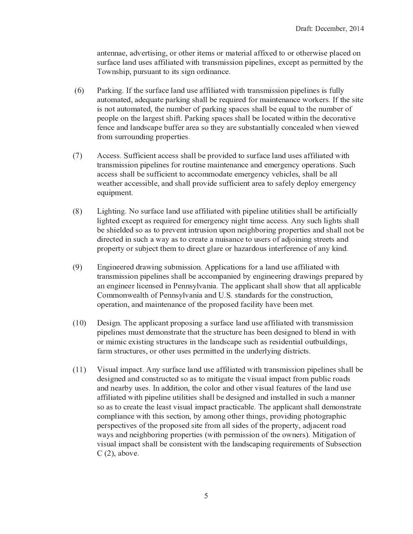? <sup>9</sup> <sup>7</sup> <sup>2</sup> <sup>9</sup> <sup>9</sup> ? <sup>2</sup> <sup>&</sup>gt; ? <sup>5</sup> <sup>X</sup> <sup>2</sup> @ <sup>7</sup> ; : ; <sup>9</sup> <sup>B</sup> <sup>&</sup>gt; <sup>4</sup> @ <sup>4</sup> <sup>7</sup> <sup>1</sup> <sup>2</sup> @ ; <sup>7</sup> <sup>2</sup> <sup>F</sup> : <sup>4</sup> @ <sup>F</sup> ? <sup>7</sup> <sup>2</sup> @ ; ? <sup>K</sup> ? <sup>6</sup> <sup>6</sup> ; <sup>2</sup> <sup>5</sup> <sup>7</sup> <sup>4</sup> <sup>4</sup> @ <sup>4</sup> <sup>7</sup> <sup>1</sup> <sup>2</sup> @ <sup>8</sup> ; : <sup>2</sup> <sup>&</sup>lt; <sup>K</sup> ? <sup>E</sup> <sup>2</sup> <sup>5</sup> <sup>4</sup> <sup>9</sup> : <sup>M</sup> @ <sup>6</sup> ? <sup>E</sup> <sup>2</sup> <sup>K</sup> ? <sup>9</sup> <sup>5</sup> <sup>M</sup> : <sup>2</sup> : ? <sup>6</sup> <sup>6</sup> ; <sup>K</sup> ; ? <sup>7</sup> <sup>2</sup> <sup>5</sup> <sup>8</sup> ; <sup>7</sup> <sup>1</sup> <sup>7</sup> @ ? <sup>9</sup> : <sup>F</sup> ; : : ; <sup>4</sup> <sup>9</sup> <sup>&</sup>lt; ; <sup>&</sup>lt; <sup>2</sup> <sup>K</sup> ; <sup>9</sup> <sup>2</sup> : <sup>&</sup>gt; <sup>2</sup> <sup>E</sup> <sup>2</sup> <sup>&</sup>lt; <sup>7</sup> ? : <sup>&</sup>lt; <sup>2</sup> @ <sup>F</sup> ; <sup>7</sup> <sup>7</sup> <sup>2</sup> <sup>5</sup> <sup>A</sup> <sup>N</sup> <sup>7</sup> <sup>1</sup> <sup>2</sup> 0 <sup>4</sup> <sup>8</sup> <sup>9</sup> : <sup>1</sup> ; <sup>&</sup>lt; <sup>&</sup>gt; <sup>&</sup>lt; <sup>M</sup> @ : <sup>M</sup> ? <sup>9</sup> <sup>7</sup> <sup>7</sup> <sup>4</sup> ; <sup>7</sup> : : ; <sup>B</sup> <sup>9</sup> <sup>4</sup> @ <sup>5</sup> ; <sup>9</sup> ? <sup>9</sup> <sup>E</sup> <sup>2</sup> <sup>Q</sup>

- G IParking. If the surface land use affiliated with transmission pipelines is fully ? <sup>M</sup> <sup>7</sup> <sup>4</sup> <sup>F</sup> ? <sup>7</sup> <sup>2</sup> <sup>5</sup> <sup>&</sup>gt; ? <sup>5</sup> <sup>2</sup> [ <sup>M</sup> ? <sup>7</sup> <sup>2</sup> <sup>&</sup>lt; ? @ ; <sup>9</sup> <sup>B</sup> : <sup>1</sup> ? <sup>K</sup> <sup>K</sup> <sup>A</sup> <sup>2</sup> @ <sup>2</sup> [ <sup>M</sup> ; @ <sup>2</sup> <sup>5</sup> <sup>6</sup> <sup>4</sup> @ <sup>F</sup> ? ; <sup>9</sup> <sup>7</sup> <sup>2</sup> <sup>9</sup> ? <sup>9</sup> <sup>E</sup> <sup>2</sup> <sup>8</sup> <sup>4</sup> @ <sup>2</sup> @ : <sup>Q</sup> <sup>×</sup> <sup>6</sup> <sup>7</sup> <sup>1</sup> <sup>2</sup> : ; <sup>7</sup> <sup>2</sup> ; : <sup>9</sup> <sup>4</sup> <sup>7</sup> ? <sup>M</sup> <sup>7</sup> <sup>4</sup> <sup>F</sup> ? <sup>7</sup> <sup>2</sup> <sup>5</sup> <sup>&</sup>gt; <sup>7</sup> <sup>1</sup> <sup>2</sup> <sup>9</sup> <sup>M</sup> <sup>F</sup> <sup>A</sup> <sup>2</sup> @ <sup>4</sup> <sup>6</sup> <sup>&</sup>lt; ? @ ; <sup>9</sup> <sup>B</sup> : <sup>&</sup>lt; ? <sup>E</sup> <sup>2</sup> : : <sup>1</sup> ? <sup>K</sup> <sup>K</sup> <sup>A</sup> <sup>2</sup> <sup>2</sup> [ <sup>M</sup> ? <sup>K</sup> <sup>7</sup> <sup>4</sup> <sup>7</sup> <sup>1</sup> <sup>2</sup> <sup>9</sup> <sup>M</sup> <sup>F</sup> <sup>A</sup> <sup>2</sup> @ <sup>4</sup> <sup>6</sup> < <sup>2</sup> <sup>4</sup> <sup>&</sup>lt; <sup>K</sup> <sup>2</sup> <sup>4</sup> <sup>9</sup> <sup>7</sup> <sup>1</sup> <sup>2</sup> <sup>K</sup> ? @ <sup>B</sup> <sup>2</sup> : <sup>7</sup> : <sup>1</sup> ; <sup>6</sup> <sup>7</sup> <sup>Q</sup> <sup>T</sup> ? @ ; <sup>9</sup> <sup>B</sup> : <sup>&</sup>lt; ? <sup>E</sup> <sup>2</sup> : : <sup>1</sup> ? <sup>K</sup> <sup>K</sup> <sup>A</sup> <sup>2</sup> <sup>K</sup> <sup>4</sup> <sup>E</sup> ? <sup>7</sup> <sup>2</sup> <sup>5</sup> <sup>8</sup> ; <sup>7</sup> <sup>1</sup> ; <sup>9</sup> <sup>7</sup> <sup>1</sup> <sup>2</sup> <sup>5</sup> <sup>2</sup> <sup>E</sup> <sup>4</sup> @ ? <sup>7</sup> ; <sup>X</sup> <sup>2</sup> 6 <sup>2</sup> <sup>9</sup> <sup>E</sup> <sup>2</sup> ? <sup>9</sup> <sup>5</sup> <sup>K</sup> ? <sup>9</sup> <sup>5</sup> : <sup>E</sup> ? <sup>&</sup>lt; <sup>2</sup> <sup>A</sup> <sup>M</sup> <sup>6</sup> <sup>6</sup> <sup>2</sup> @ ? @ <sup>2</sup> ? : <sup>4</sup> <sup>7</sup> <sup>1</sup> <sup>2</sup> <sup>N</sup> ? @ <sup>2</sup> : <sup>M</sup> <sup>A</sup> : <sup>7</sup> ? <sup>9</sup> <sup>7</sup> ; ? <sup>K</sup> <sup>K</sup> <sup>N</sup> <sup>E</sup> <sup>4</sup> <sup>9</sup> <sup>E</sup> <sup>2</sup> ? <sup>K</sup> <sup>2</sup> <sup>5</sup> <sup>8</sup> <sup>1</sup> <sup>2</sup> <sup>9</sup> <sup>X</sup> ; <sup>2</sup> <sup>8</sup> <sup>2</sup> <sup>5</sup>  $\alpha$  and  $\alpha$  and  $\alpha$  and  $\alpha$  is  $\alpha$  is  $\alpha$  is  $\alpha$  . Then  $\alpha$  is a function of  $\alpha$  is a function of  $\alpha$  is a function of  $\alpha$  is a function of  $\alpha$  is a function of  $\alpha$  is a function of  $\alpha$  is a function of  $\alpha$
- $(7)$ Access. Sufficient access shall be provided to surface land uses affiliated with 7 @ ? <sup>9</sup> : <sup>F</sup> ; : : ; <sup>4</sup> <sup>9</sup> <sup>&</sup>lt; ; <sup>&</sup>lt; <sup>2</sup> <sup>K</sup> ; <sup>9</sup> <sup>2</sup> : <sup>6</sup> <sup>4</sup> @ @ <sup>4</sup> <sup>M</sup> <sup>7</sup> ; <sup>9</sup> <sup>2</sup> <sup>F</sup> ? ; <sup>9</sup> <sup>7</sup> <sup>2</sup> <sup>9</sup> ? <sup>9</sup> <sup>E</sup> <sup>2</sup> ? <sup>9</sup> <sup>5</sup> <sup>2</sup> <sup>F</sup> <sup>2</sup> @ <sup>B</sup> <sup>2</sup> <sup>9</sup> <sup>E</sup> <sup>N</sup> <sup>4</sup> <sup>&</sup>lt; <sup>2</sup> @ ? <sup>7</sup> ; <sup>4</sup> <sup>9</sup> : <sup>Q</sup> <sup>L</sup> <sup>M</sup> <sup>E</sup> <sup>1</sup> ? <sup>E</sup> <sup>E</sup> <sup>2</sup> : : : <sup>1</sup> ? <sup>K</sup> <sup>K</sup> <sup>A</sup> <sup>2</sup> : <sup>M</sup> <sup>6</sup> <sup>6</sup> ; <sup>E</sup> ; <sup>2</sup> <sup>9</sup> <sup>7</sup> <sup>7</sup> <sup>4</sup> ? <sup>E</sup> <sup>E</sup> <sup>4</sup> <sup>F</sup> <sup>F</sup> <sup>4</sup> <sup>5</sup> ? <sup>7</sup> <sup>2</sup> <sup>2</sup> <sup>F</sup> <sup>2</sup> @ <sup>B</sup> <sup>2</sup> <sup>9</sup> <sup>E</sup> <sup>N</sup> <sup>X</sup> <sup>2</sup> <sup>1</sup> ; <sup>E</sup> <sup>K</sup> <sup>2</sup> : <sup>&</sup>gt; : <sup>1</sup> ? <sup>K</sup> <sup>K</sup> <sup>A</sup> <sup>2</sup> ? <sup>K</sup> <sup>K</sup> 8 <sup>2</sup> ? <sup>7</sup> <sup>1</sup> <sup>2</sup> @ ? <sup>E</sup> <sup>E</sup> <sup>2</sup> : : ; <sup>A</sup> <sup>K</sup> <sup>2</sup> <sup>&</sup>gt; ? <sup>9</sup> <sup>5</sup> : <sup>1</sup> ? <sup>K</sup> <sup>K</sup> <sup>&</sup>lt; @ <sup>4</sup> <sup>X</sup> ; <sup>5</sup> <sup>2</sup> : <sup>M</sup> <sup>6</sup> <sup>6</sup> ; <sup>E</sup> ; <sup>2</sup> <sup>9</sup> <sup>7</sup> ? @ <sup>2</sup> ? <sup>7</sup> <sup>4</sup> : ? <sup>6</sup> <sup>2</sup> <sup>K</sup> <sup>N</sup> <sup>5</sup> <sup>2</sup> <sup>&</sup>lt; <sup>K</sup> <sup>4</sup> <sup>N</sup> <sup>2</sup> <sup>F</sup> <sup>2</sup> @ <sup>B</sup> <sup>2</sup> <sup>9</sup> <sup>E</sup> <sup>N</sup> 2 [ <sup>M</sup> ; <sup>&</sup>lt; <sup>F</sup> <sup>2</sup> <sup>9</sup> <sup>7</sup> <sup>Q</sup>
- $\sim$ Lighting. No surface land use affiliated with pipeline utilities shall be artificially K ; <sup>B</sup> <sup>1</sup> <sup>7</sup> <sup>2</sup> <sup>5</sup> <sup>2</sup> <sup>E</sup> <sup>2</sup> <sup>&</sup>lt; <sup>7</sup> ? : @ <sup>2</sup> [ <sup>M</sup> ; @ <sup>2</sup> <sup>5</sup> <sup>6</sup> <sup>4</sup> @ <sup>2</sup> <sup>F</sup> <sup>2</sup> @ <sup>B</sup> <sup>2</sup> <sup>9</sup> <sup>E</sup> <sup>N</sup> <sup>9</sup> ; <sup>B</sup> <sup>1</sup> <sup>7</sup> <sup>7</sup> ; <sup>F</sup> <sup>2</sup> ? <sup>E</sup> <sup>E</sup> <sup>2</sup> : : <sup>Q</sup> <sup>J</sup> <sup>9</sup> <sup>N</sup> : <sup>M</sup> <sup>E</sup> <sup>1</sup> <sup>K</sup> ; <sup>B</sup> <sup>1</sup> <sup>7</sup> : : <sup>1</sup> ? <sup>K</sup> <sup>K</sup> A <sup>2</sup> : <sup>1</sup> ; <sup>2</sup> <sup>K</sup> <sup>5</sup> <sup>2</sup> <sup>5</sup> : <sup>4</sup> ? : <sup>7</sup> <sup>4</sup> <sup>&</sup>lt; @ <sup>2</sup> <sup>X</sup> <sup>2</sup> <sup>9</sup> <sup>7</sup> ; <sup>9</sup> <sup>7</sup> @ <sup>M</sup> : ; <sup>4</sup> <sup>9</sup> <sup>M</sup> <sup>&</sup>lt; <sup>4</sup> <sup>9</sup> <sup>9</sup> <sup>2</sup> ; <sup>B</sup> <sup>1</sup> <sup>A</sup> <sup>4</sup> @ ; <sup>9</sup> <sup>B</sup> <sup>&</sup>lt; @ <sup>4</sup> <sup>&</sup>lt; <sup>2</sup> @ <sup>7</sup> ; <sup>2</sup> : ? <sup>9</sup> <sup>5</sup> : <sup>1</sup> ? <sup>K</sup> <sup>K</sup> <sup>9</sup> <sup>4</sup> <sup>7</sup> <sup>A</sup> <sup>2</sup> 5 ; @ <sup>2</sup> <sup>E</sup> <sup>7</sup> <sup>2</sup> <sup>5</sup> ; <sup>9</sup> : <sup>M</sup> <sup>E</sup> <sup>1</sup> ? <sup>8</sup> ? <sup>N</sup> ? : <sup>7</sup> <sup>4</sup> <sup>E</sup> @ <sup>2</sup> ? <sup>7</sup> <sup>2</sup> ? <sup>9</sup> <sup>M</sup> ; : ? <sup>9</sup> <sup>E</sup> <sup>2</sup> <sup>7</sup> <sup>4</sup> <sup>M</sup> : <sup>2</sup> @ : <sup>4</sup> <sup>6</sup> ? <sup>5</sup> \_ <sup>4</sup> ; <sup>9</sup> ; <sup>9</sup> <sup>B</sup> : <sup>7</sup> @ <sup>2</sup> <sup>2</sup> <sup>7</sup> : ? <sup>9</sup> <sup>5</sup> < @ <sup>4</sup> <sup>&</sup>lt; <sup>2</sup> @ <sup>7</sup> <sup>N</sup> <sup>4</sup> @ : <sup>M</sup> <sup>A</sup> \_ <sup>2</sup> <sup>E</sup> <sup>7</sup> <sup>7</sup> <sup>1</sup> <sup>2</sup> <sup>F</sup> <sup>7</sup> <sup>4</sup> <sup>5</sup> ; @ <sup>2</sup> <sup>E</sup> <sup>7</sup> <sup>B</sup> <sup>K</sup> ? @ <sup>2</sup> <sup>4</sup> @ <sup>1</sup> ? <sup>U</sup> ? @ <sup>5</sup> <sup>4</sup> <sup>M</sup> : ; <sup>9</sup> <sup>7</sup> <sup>2</sup> @ <sup>6</sup> <sup>2</sup> @ <sup>2</sup> <sup>9</sup> <sup>E</sup> <sup>2</sup> <sup>4</sup> <sup>6</sup> ? <sup>9</sup> <sup>N</sup> ; <sup>9</sup> <sup>5</sup> <sup>Q</sup>
- $(9)$ Engineered drawing submission. Applications for a land use affiliated with 7 @ ? <sup>9</sup> : <sup>F</sup> ; : : ; <sup>4</sup> <sup>9</sup> <sup>&</sup>lt; ; <sup>&</sup>lt; <sup>2</sup> <sup>K</sup> ; <sup>9</sup> <sup>2</sup> : : <sup>1</sup> ? <sup>K</sup> <sup>K</sup> <sup>A</sup> <sup>2</sup> ? <sup>E</sup> <sup>E</sup> <sup>4</sup> <sup>F</sup> <sup>&</sup>lt; ? <sup>9</sup> ; <sup>2</sup> <sup>5</sup> <sup>A</sup> <sup>N</sup> <sup>2</sup> <sup>9</sup> <sup>B</sup> ; <sup>9</sup> <sup>2</sup> <sup>2</sup> @ ; <sup>9</sup> <sup>B</sup> <sup>5</sup> @ ? <sup>8</sup> ; <sup>9</sup> <sup>B</sup> : <sup>&</sup>lt; @ <sup>2</sup> <sup>&</sup>lt; ? @ <sup>2</sup> <sup>5</sup> <sup>A</sup> <sup>N</sup> ? <sup>9</sup> <sup>2</sup> <sup>9</sup> <sup>B</sup> ; <sup>9</sup> <sup>2</sup> <sup>2</sup> @ <sup>K</sup> ; <sup>E</sup> <sup>2</sup> <sup>9</sup> : <sup>2</sup> <sup>5</sup> ; <sup>9</sup> <sup>T</sup> <sup>2</sup> <sup>9</sup> <sup>9</sup> : <sup>N</sup> <sup>K</sup> <sup>X</sup> ? <sup>9</sup> ; ? <sup>Q</sup> <sup>0</sup> <sup>1</sup> <sup>2</sup> ? <sup>&</sup>lt; <sup>&</sup>lt; <sup>K</sup> ; <sup>E</sup> ? <sup>9</sup> <sup>7</sup> : <sup>1</sup> ? <sup>K</sup> <sup>K</sup> : <sup>1</sup> <sup>4</sup> <sup>8</sup> <sup>7</sup> <sup>1</sup> ? <sup>7</sup> ? <sup>K</sup> <sup>K</sup> ? <sup>&</sup>lt; <sup>&</sup>lt; <sup>K</sup> ; <sup>E</sup> ? <sup>A</sup> <sup>K</sup> <sup>2</sup> 3 <sup>4</sup> <sup>F</sup> <sup>F</sup> <sup>4</sup> <sup>9</sup> <sup>8</sup> <sup>2</sup> ? <sup>K</sup> <sup>7</sup> <sup>1</sup> <sup>4</sup> <sup>6</sup> <sup>T</sup> <sup>2</sup> <sup>9</sup> <sup>9</sup> : <sup>N</sup> <sup>K</sup> <sup>X</sup> ? <sup>9</sup> ; ? ? <sup>9</sup> <sup>5</sup> <sup>S</sup> <sup>Q</sup> <sup>L</sup> <sup>Q</sup> : <sup>7</sup> ? <sup>9</sup> <sup>5</sup> ? @ <sup>5</sup> : <sup>6</sup> <sup>4</sup> @ <sup>7</sup> <sup>1</sup> <sup>2</sup> <sup>E</sup> <sup>4</sup> <sup>9</sup> : <sup>7</sup> @ <sup>M</sup> <sup>E</sup> <sup>7</sup> ; <sup>4</sup> <sup>9</sup> <sup>&</sup>gt; 4 <sup>&</sup>lt; <sup>2</sup> @ ? <sup>7</sup> ; <sup>4</sup> <sup>9</sup> <sup>&</sup>gt; ? <sup>9</sup> <sup>5</sup> <sup>F</sup> ? ; <sup>9</sup> <sup>7</sup> <sup>2</sup> <sup>9</sup> ? <sup>9</sup> <sup>E</sup> <sup>2</sup> <sup>4</sup> <sup>6</sup> <sup>7</sup> <sup>1</sup> <sup>2</sup> <sup>&</sup>lt; @ <sup>4</sup> <sup>&</sup>lt; <sup>4</sup> : <sup>2</sup> <sup>5</sup> <sup>6</sup> ? <sup>E</sup> ; <sup>K</sup> ; <sup>7</sup> <sup>N</sup> <sup>1</sup> ? <sup>X</sup> <sup>2</sup> <sup>A</sup> <sup>2</sup> <sup>2</sup> <sup>9</sup> <sup>F</sup> <sup>2</sup> <sup>7</sup> <sup>Q</sup>
- $(10)$ Design. The applicant proposing a surface land use affiliated with transmission < ; <sup>&</sup>lt; <sup>2</sup> <sup>K</sup> ; <sup>9</sup> <sup>2</sup> : <sup>F</sup> <sup>M</sup> : <sup>7</sup> <sup>5</sup> <sup>2</sup> <sup>F</sup> <sup>4</sup> <sup>9</sup> : <sup>7</sup> @ ? <sup>7</sup> <sup>2</sup> <sup>7</sup> <sup>1</sup> ? <sup>7</sup> <sup>7</sup> <sup>1</sup> <sup>2</sup> : <sup>7</sup> @ <sup>M</sup> <sup>E</sup> <sup>7</sup> <sup>M</sup> @ <sup>2</sup> <sup>1</sup> ? : <sup>A</sup> <sup>2</sup> <sup>2</sup> <sup>9</sup> <sup>5</sup> <sup>2</sup> : ; <sup>B</sup> <sup>9</sup> <sup>2</sup> <sup>5</sup> <sup>7</sup> <sup>4</sup> <sup>A</sup> <sup>K</sup> <sup>2</sup> <sup>9</sup> <sup>5</sup> ; <sup>9</sup> <sup>8</sup> ; <sup>7</sup> <sup>1</sup> 4 @ <sup>F</sup> ; <sup>F</sup> ; <sup>E</sup> <sup>2</sup> ; : <sup>7</sup> ; <sup>9</sup> <sup>B</sup> : <sup>7</sup> @ <sup>M</sup> <sup>E</sup> <sup>7</sup> <sup>M</sup> @ <sup>2</sup> : ; <sup>9</sup> <sup>7</sup> <sup>1</sup> <sup>2</sup> <sup>K</sup> ? <sup>9</sup> <sup>5</sup> : <sup>E</sup> ? <sup>&</sup>lt; <sup>2</sup> : <sup>M</sup> <sup>E</sup> <sup>1</sup> ? : @ <sup>2</sup> : ; <sup>5</sup> <sup>2</sup> <sup>9</sup> <sup>7</sup> ; ? <sup>K</sup> <sup>4</sup> <sup>M</sup> <sup>7</sup> <sup>A</sup> <sup>M</sup> ; <sup>K</sup> <sup>5</sup> ; <sup>9</sup> <sup>B</sup> : <sup>&</sup>gt; 6 ? @ <sup>F</sup> : <sup>7</sup> @ <sup>M</sup> <sup>E</sup> <sup>7</sup> <sup>M</sup> @ <sup>2</sup> : <sup>&</sup>gt; <sup>4</sup> @ <sup>4</sup> <sup>7</sup> <sup>1</sup> <sup>2</sup> @ <sup>M</sup> : <sup>2</sup> : <sup>&</sup>lt; <sup>2</sup> @ <sup>F</sup> ; <sup>7</sup> <sup>7</sup> <sup>2</sup> <sup>5</sup> ; <sup>9</sup> <sup>7</sup> <sup>1</sup> <sup>2</sup> <sup>M</sup> <sup>9</sup> <sup>5</sup> <sup>2</sup> @ <sup>K</sup> <sup>N</sup> ; <sup>9</sup> <sup>B</sup> <sup>5</sup> ; : <sup>7</sup> @ ; <sup>E</sup> <sup>7</sup> : <sup>Q</sup>
- G IVisual impact. Any surface land use affiliated with transmission pipelines shall be 5 <sup>2</sup> : ; <sup>B</sup> <sup>9</sup> <sup>2</sup> <sup>5</sup> ? <sup>9</sup> <sup>5</sup> <sup>E</sup> <sup>4</sup> <sup>9</sup> : <sup>7</sup> @ <sup>M</sup> <sup>E</sup> <sup>7</sup> <sup>2</sup> <sup>5</sup> : <sup>4</sup> ? : <sup>7</sup> <sup>4</sup> <sup>F</sup> ; <sup>7</sup> ; <sup>B</sup> ? <sup>7</sup> <sup>2</sup> <sup>7</sup> <sup>1</sup> <sup>2</sup> <sup>X</sup> ; : <sup>M</sup> ? <sup>K</sup> ; <sup>F</sup> <sup>&</sup>lt; ? <sup>E</sup> <sup>7</sup> <sup>6</sup> @ <sup>4</sup> <sup>F</sup> <sup>&</sup>lt; <sup>M</sup> <sup>A</sup> <sup>K</sup> ; <sup>E</sup> @ <sup>4</sup> ? <sup>5</sup> : ? <sup>9</sup> <sup>5</sup> <sup>9</sup> <sup>2</sup> ? @ <sup>A</sup> <sup>N</sup> <sup>M</sup> : <sup>2</sup> : <sup>Q</sup> <sup>×</sup> <sup>9</sup> ? <sup>5</sup> <sup>5</sup> ; <sup>7</sup> ; <sup>4</sup> <sup>9</sup> <sup>&</sup>gt; <sup>7</sup> <sup>1</sup> <sup>2</sup> <sup>E</sup> <sup>4</sup> <sup>K</sup> <sup>4</sup> @ ? <sup>9</sup> <sup>5</sup> <sup>4</sup> <sup>7</sup> <sup>1</sup> <sup>2</sup> @ <sup>X</sup> ; : <sup>M</sup> ? <sup>K</sup> <sup>6</sup> <sup>2</sup> ? <sup>7</sup> <sup>M</sup> @ <sup>2</sup> : <sup>4</sup> <sup>6</sup> <sup>7</sup> <sup>1</sup> <sup>2</sup> <sup>K</sup> ? <sup>9</sup> <sup>5</sup> <sup>M</sup> : <sup>2</sup> ? <sup>6</sup> <sup>6</sup> ; <sup>K</sup> ; ? <sup>7</sup> <sup>2</sup> <sup>5</sup> <sup>8</sup> ; <sup>7</sup> <sup>1</sup> <sup>&</sup>lt; ; <sup>&</sup>lt; <sup>2</sup> <sup>K</sup> ; <sup>9</sup> <sup>2</sup> <sup>M</sup> <sup>7</sup> ; <sup>K</sup> ; <sup>7</sup> ; <sup>2</sup> : : <sup>1</sup> ? <sup>K</sup> <sup>K</sup> <sup>A</sup> <sup>2</sup> <sup>5</sup> <sup>2</sup> : ; <sup>B</sup> <sup>9</sup> <sup>2</sup> <sup>5</sup> ? <sup>9</sup> <sup>5</sup> ; <sup>9</sup> : <sup>7</sup> ? <sup>K</sup> <sup>K</sup> <sup>2</sup> <sup>5</sup> ; <sup>9</sup> : <sup>M</sup> <sup>E</sup> <sup>1</sup> ? <sup>F</sup> ? <sup>9</sup> <sup>9</sup> <sup>2</sup> @ : <sup>4</sup> ? : <sup>7</sup> <sup>4</sup> <sup>E</sup> @ <sup>2</sup> ? <sup>7</sup> <sup>2</sup> <sup>7</sup> <sup>1</sup> <sup>2</sup> <sup>K</sup> <sup>2</sup> ? : <sup>7</sup> <sup>X</sup> ; : <sup>M</sup> ? <sup>K</sup> ; <sup>F</sup> <sup>&</sup>lt; ? <sup>E</sup> <sup>7</sup> <sup>&</sup>lt; @ ? <sup>E</sup> <sup>7</sup> ; <sup>E</sup> ? <sup>A</sup> <sup>K</sup> <sup>2</sup> <sup>Q</sup> <sup>0</sup> <sup>1</sup> <sup>2</sup> ? <sup>&</sup>lt; <sup>&</sup>lt; <sup>K</sup> ; <sup>E</sup> ? <sup>9</sup> <sup>7</sup> : <sup>1</sup> ? <sup>K</sup> <sup>K</sup> <sup>5</sup> <sup>2</sup> <sup>F</sup> <sup>4</sup> <sup>9</sup> : <sup>7</sup> @ ? <sup>7</sup> <sup>2</sup> E <sup>4</sup> <sup>F</sup> <sup>&</sup>lt; <sup>K</sup> ; ? <sup>9</sup> <sup>E</sup> <sup>2</sup> <sup>8</sup> ; <sup>7</sup> <sup>1</sup> <sup>7</sup> <sup>1</sup> ; : : <sup>2</sup> <sup>E</sup> <sup>7</sup> ; <sup>4</sup> <sup>9</sup> <sup>&</sup>gt; <sup>A</sup> <sup>N</sup> ? <sup>F</sup> <sup>4</sup> <sup>9</sup> <sup>B</sup> <sup>4</sup> <sup>7</sup> <sup>1</sup> <sup>2</sup> @ <sup>7</sup> <sup>1</sup> ; <sup>9</sup> <sup>B</sup> : <sup>&</sup>gt; <sup>&</sup>lt; @ <sup>4</sup> <sup>X</sup> ; <sup>5</sup> ; <sup>9</sup> <sup>B</sup> <sup>&</sup>lt; <sup>1</sup> <sup>4</sup> <sup>7</sup> <sup>4</sup> <sup>B</sup> @ ? <sup>&</sup>lt; <sup>1</sup> ; <sup>E</sup> < <sup>2</sup> @ : <sup>&</sup>lt; <sup>2</sup> <sup>E</sup> <sup>7</sup> ; <sup>X</sup> <sup>2</sup> : <sup>4</sup> <sup>6</sup> <sup>7</sup> <sup>1</sup> <sup>2</sup> <sup>&</sup>lt; @ <sup>4</sup> <sup>&</sup>lt; <sup>4</sup> : <sup>2</sup> <sup>5</sup> : ; <sup>7</sup> <sup>2</sup> <sup>6</sup> @ <sup>4</sup> <sup>F</sup> ? <sup>K</sup> <sup>K</sup> : ; <sup>5</sup> <sup>2</sup> : <sup>4</sup> <sup>6</sup> <sup>7</sup> <sup>1</sup> <sup>2</sup> <sup>&</sup>lt; @ <sup>4</sup> <sup>&</sup>lt; <sup>2</sup> @ <sup>7</sup> <sup>N</sup> <sup>&</sup>gt; ? <sup>5</sup> \_ ? <sup>E</sup> <sup>2</sup> <sup>9</sup> <sup>7</sup> @ <sup>4</sup> ? <sup>5</sup> 8 ? <sup>N</sup> : ? <sup>9</sup> <sup>5</sup> <sup>9</sup> <sup>2</sup> ; <sup>B</sup> <sup>1</sup> <sup>A</sup> <sup>4</sup> @ ; <sup>9</sup> <sup>B</sup> <sup>&</sup>lt; @ <sup>4</sup> <sup>&</sup>lt; <sup>2</sup> @ <sup>7</sup> ; <sup>2</sup> : <sup>G</sup> <sup>8</sup> ; <sup>7</sup> <sup>1</sup> <sup>&</sup>lt; <sup>2</sup> @ <sup>F</sup> ; : : ; <sup>4</sup> <sup>9</sup> <sup>4</sup> <sup>6</sup> <sup>7</sup> <sup>1</sup> <sup>2</sup> <sup>4</sup> <sup>8</sup> <sup>9</sup> <sup>2</sup> @ : <sup>I</sup> <sup>Q</sup> <sup>W</sup> ; <sup>7</sup> ; <sup>B</sup> ? <sup>7</sup> ; <sup>4</sup> <sup>9</sup> <sup>4</sup> <sup>6</sup> X ; : <sup>M</sup> ? <sup>K</sup> ; <sup>F</sup> <sup>&</sup>lt; ? <sup>E</sup> <sup>7</sup> : <sup>1</sup> ? <sup>K</sup> <sup>K</sup> <sup>A</sup> <sup>2</sup> <sup>E</sup> <sup>4</sup> <sup>9</sup> : ; : <sup>7</sup> <sup>2</sup> <sup>9</sup> <sup>7</sup> <sup>8</sup> ; <sup>7</sup> <sup>1</sup> <sup>7</sup> <sup>1</sup> <sup>2</sup> <sup>K</sup> ? <sup>9</sup> <sup>5</sup> : <sup>E</sup> ? <sup>&</sup>lt; ; <sup>9</sup> <sup>B</sup> @ <sup>2</sup> [ <sup>M</sup> ; @ <sup>2</sup> <sup>F</sup> <sup>2</sup> <sup>9</sup> <sup>7</sup> : <sup>4</sup> <sup>6</sup> <sup>L</sup> <sup>M</sup> <sup>A</sup> : <sup>2</sup> <sup>E</sup> <sup>7</sup> ; <sup>4</sup> <sup>9</sup> 3 <sup>G</sup> <sup>V</sup> <sup>I</sup> <sup>&</sup>gt; ? <sup>A</sup> <sup>4</sup> <sup>X</sup> <sup>2</sup> <sup>Q</sup>